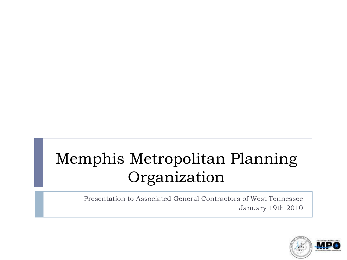# Memphis Metropolitan Planning Organization

Presentation to Associated General Contractors of West Tennessee January 19th 2010

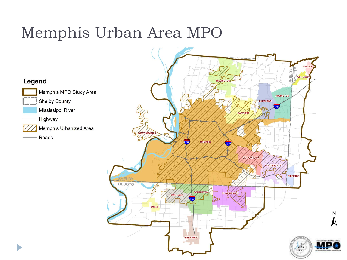#### Memphis Urban Area MPO

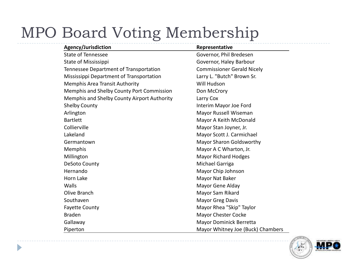## MPO Board Voting Membership

Þ

| Agency/Jurisdiction                         | Representative                    |
|---------------------------------------------|-----------------------------------|
| State of Tennessee                          | Governor, Phil Bredesen           |
| State of Mississippi                        | Governor, Haley Barbour           |
| Tennessee Department of Transportation      | <b>Commissioner Gerald Nicely</b> |
| Mississippi Department of Transportation    | Larry L. "Butch" Brown Sr.        |
| <b>Memphis Area Transit Authority</b>       | Will Hudson                       |
| Memphis and Shelby County Port Commission   | Don McCrory                       |
| Memphis and Shelby County Airport Authority | Larry Cox                         |
| <b>Shelby County</b>                        | Interim Mayor Joe Ford            |
| Arlington                                   | Mayor Russell Wiseman             |
| <b>Bartlett</b>                             | Mayor A Keith McDonald            |
| Collierville                                | Mayor Stan Joyner, Jr.            |
| Lakeland                                    | Mayor Scott J. Carmichael         |
| Germantown                                  | Mayor Sharon Goldsworthy          |
| Memphis                                     | Mayor A C Wharton, Jr.            |
| Millington                                  | <b>Mayor Richard Hodges</b>       |
| <b>DeSoto County</b>                        | Michael Garriga                   |
| Hernando                                    | Mayor Chip Johnson                |
| Horn Lake                                   | Mayor Nat Baker                   |
| Walls                                       | Mayor Gene Alday                  |
| Olive Branch                                | Mayor Sam Rikard                  |
| Southaven                                   | <b>Mayor Greg Davis</b>           |
| <b>Fayette County</b>                       | Mayor Rhea "Skip" Taylor          |
| <b>Braden</b>                               | Mayor Chester Cocke               |
| Gallaway                                    | Mayor Dominick Berretta           |
| Piperton                                    | Mayor Whitney Joe (Buck) Chambers |

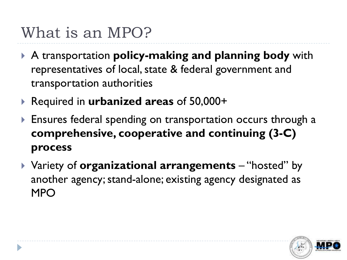# What is an MPO?

- A transportation **policy-making and planning body** with representatives of local, state & federal government and transportation authorities
- **▶ Required in urbanized areas of 50,000+**
- Ensures federal spending on transportation occurs through a **comprehensive, cooperative and continuing (3-C) process**
- Variety of **organizational arrangements** "hosted" by another agency; stand-alone; existing agency designated as MPO

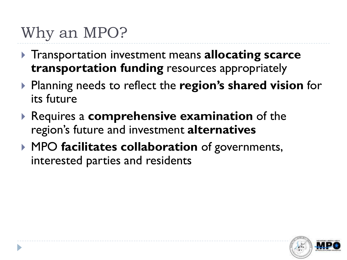## Why an MPO?

- **▶ Transportation investment means allocating scarce transportation funding** resources appropriately
- Planning needs to reflect the **region's shared vision** for its future
- Requires a **comprehensive examination** of the region's future and investment **alternatives**
- MPO **facilitates collaboration** of governments, interested parties and residents

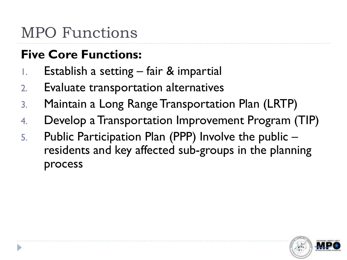## MPO Functions

#### **Five Core Functions:**

- 1. Establish a setting fair & impartial
- 2. Evaluate transportation alternatives
- 3. Maintain a Long Range Transportation Plan (LRTP)
- 4. Develop a Transportation Improvement Program (TIP)
- 5. Public Participation Plan (PPP) Involve the public residents and key affected sub-groups in the planning process

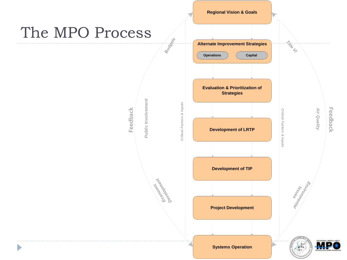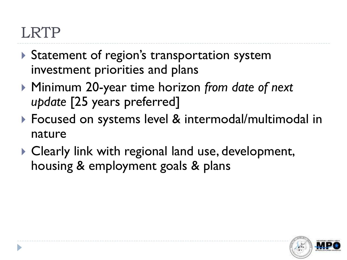#### LRTP

- Statement of region's transportation system investment priorities and plans
- Minimum 20-year time horizon *from date of next update* [25 years preferred]
- ▶ Focused on systems level & intermodal/multimodal in nature
- ▶ Clearly link with regional land use, development, housing & employment goals & plans

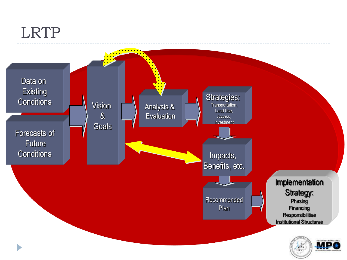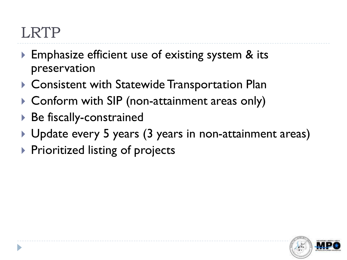#### LRTP

- ▶ Emphasize efficient use of existing system & its preservation
- ▶ Consistent with Statewide Transportation Plan
- ▶ Conform with SIP (non-attainment areas only)
- Be fiscally-constrained
- ▶ Update every 5 years (3 years in non-attainment areas)
- $\triangleright$  Prioritized listing of projects

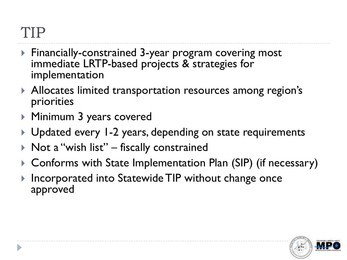#### TIP

- Financially-constrained 3-year program covering most immediate LRTP-based projects & strategies for implementation
- Allocates limited transportation resources among region's priorities
- Minimum 3 years covered
- ▶ Updated every 1-2 years, depending on state requirements
- $\triangleright$  Not a "wish list" fiscally constrained
- Conforms with State Implementation Plan (SIP) (if necessary)
- Incorporated into Statewide TIP without change once approved

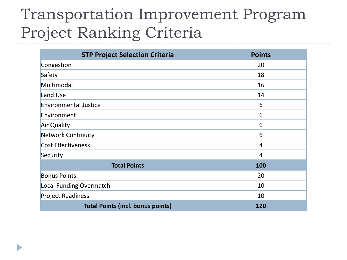# Transportation Improvement Program Project Ranking Criteria

| <b>STP Project Selection Criteria</b>    | <b>Points</b>  |
|------------------------------------------|----------------|
| Congestion                               | 20             |
| Safety                                   | 18             |
| Multimodal                               | 16             |
| Land Use                                 | 14             |
| <b>Environmental Justice</b>             | 6              |
| Environment                              | 6              |
| Air Quality                              | 6              |
| <b>Network Continuity</b>                | 6              |
| <b>Cost Effectiveness</b>                | $\overline{4}$ |
| Security                                 | 4              |
| <b>Total Points</b>                      | 100            |
| <b>Bonus Points</b>                      | 20             |
| Local Funding Overmatch                  | 10             |
| <b>Project Readiness</b>                 | 10             |
| <b>Total Points (incl. bonus points)</b> | 120            |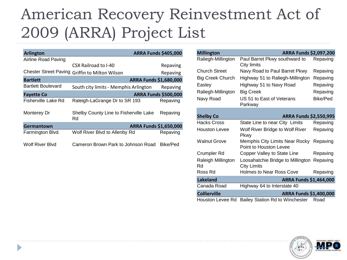# American Recovery Reinvestment Act of 2009 (ARRA) Project List

| <b>Arlington</b>          |                                                | <b>ARRA Funds \$405,000</b> |
|---------------------------|------------------------------------------------|-----------------------------|
| Airline Road Paving       |                                                |                             |
|                           | CSX Railroad to I-40                           | Repaving                    |
|                           | Chester Street Paving Griffin to Milton Wilson | Repaving                    |
| <b>Bartlett</b>           |                                                | ARRA Funds \$1,680,000      |
| <b>Bartlett Boulevard</b> | South city limits - Memphis Arlington          | Repaving                    |
| <b>Fayette Co</b>         | <b>ARRA Funds \$500,000</b>                    |                             |
| Fisherville Lake Rd       | Raleigh-LaGrange Dr to SR 193                  | Repaving                    |
| Monterey Dr               | Shelby County Line to Fisherville Lake<br>Rd   | Repaving                    |
| Germantown                | ARRA Funds \$1,650,000                         |                             |
| Farmington Blvd.          | Wolf River Blvd to Allenby Rd                  | Repaving                    |
| Wolf River Blvd           | Cameron Brown Park to Johnson Road             | Bike/Ped                    |

| <b>Millington</b>        | ARRA Funds \$2,097,200                                                                 |          |  |
|--------------------------|----------------------------------------------------------------------------------------|----------|--|
| Raliegh-Millington       | Paul Barret Pkwy southward to<br>City limits                                           | Repaving |  |
| Church Street            | Navy Road to Paul Barret Pkwy                                                          | Repaving |  |
| <b>Big Creek Church</b>  | Highway 51 to Raliegh-Millington                                                       | Repaving |  |
| Easley                   | Highway 51 to Navy Road                                                                | Repaving |  |
| Raliegh-Millington       | <b>Big Creek</b>                                                                       |          |  |
| Navy Road                | US 51 to East of Veterans<br>Parkway                                                   | Bike/Ped |  |
|                          |                                                                                        |          |  |
| <b>Shelby Co</b>         | ARRA Funds \$2,550,995                                                                 |          |  |
| Hacks Cross              | State Line to near City Limits                                                         | Repaving |  |
| <b>Houston Levee</b>     | Wolf River Bridge to Wolf River<br>Pkwy                                                | Repaving |  |
| <b>Walnut Grove</b>      | Memphis City Limits Near Rocky<br>Point to Houston Levee                               | Repaving |  |
| Crumpler Rd              | Copper Valley to State Line                                                            | Repaving |  |
| Raleigh Millington<br>Rd | Loosahatchie Bridge to Millington<br><b>City Limits</b>                                | Repaving |  |
| Ross Rd                  | Holmes to Near Ross Cove                                                               | Repaving |  |
| <b>Lakeland</b>          | ARRA Funds \$1,464,000<br>Highway 64 to Interstate 40<br><b>ARRA Funds \$1,400,000</b> |          |  |
| Canada Road              |                                                                                        |          |  |
| <b>Collierville</b>      |                                                                                        |          |  |
| Houston Levee Rd         | Bailey Station Rd to Winchester                                                        | Road     |  |

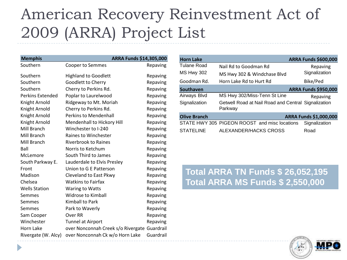# American Recovery Reinvestment Act of 2009 (ARRA) Project List

| <b>Memphis</b>          | ARRA Funds \$14,305,000                      |           |
|-------------------------|----------------------------------------------|-----------|
| Southern                | Cooper to Semmes                             | Repaving  |
| Southern                | <b>Highland to Goodlett</b>                  | Repaving  |
| Southern                | Goodlett to Cherry                           | Repaving  |
| Southern                | Cherry to Perkins Rd.                        | Repaving  |
| <b>Perkins Extended</b> | Poplar to Laurelwood                         | Repaving  |
| Knight Arnold           | Ridgeway to Mt. Moriah                       | Repaving  |
| Knight Arnold           | Cherry to Perkins Rd.                        | Repaving  |
| Knight Arnold           | <b>Perkins to Mendenhall</b>                 | Repaving  |
| Knight Arnold           | Mendenhall to Hickory Hill                   | Repaving  |
| Mill Branch             | Winchester to I-240                          | Repaving  |
| Mill Branch             | Raines to Winchester                         | Repaving  |
| Mill Branch             | <b>Riverbrook to Raines</b>                  | Repaving  |
| Ball                    | Norris to Ketchum                            | Repaving  |
| McLemore                | South Third to James                         | Repaving  |
| South Parkway E.        | Lauderdale to Elvis Presley                  | Repaving  |
| Front                   | Union to G E Patterson                       | Repaving  |
| Madison                 | Cleveland to East Pkwy                       | Repaving  |
| Chelsea                 | <b>Watkins to Fairfax</b>                    | Repaving  |
| <b>Wells Station</b>    | Waring to Watts                              | Repaving  |
| Semmes                  | <b>Widrose to Kimball</b>                    | Repaving  |
| Semmes                  | Kimball to Park                              | Repaving  |
| Semmes                  | Park to Waverly                              | Repaving  |
| Sam Cooper              | Over RR                                      | Repaving  |
| Winchester              | Tunnel at Airport                            | Repaving  |
| Horn Lake               | over Nonconnah Creek s/o Rivergate Guardrail |           |
| Rivergate (W. Alcy)     | over Nonconnah Ck w/o Horn Lake              | Guardrail |

| <b>Horn Lake</b>                                 |                                                                |  | <b>ARRA Funds \$600,000</b> |
|--------------------------------------------------|----------------------------------------------------------------|--|-----------------------------|
| Tulane Road                                      | Nail Rd to Goodman Rd                                          |  | Repaving                    |
| <b>MS Hwy 302</b><br>MS Hwy 302 & Windchase Blvd |                                                                |  | Signalization               |
| Goodman Rd.                                      | Horn Lake Rd to Hurt Rd                                        |  | Bike/Ped                    |
| Southaven                                        |                                                                |  | <b>ARRA Funds \$950,000</b> |
| Airways Blvd                                     | MS Hwy 302/Miss-Tenn St Line                                   |  | Repaving                    |
| Signalization                                    | Getwell Road at Nail Road and Central Signalization<br>Parkway |  |                             |
| <b>Olive Branch</b>                              | ARRA Funds \$1,000,000                                         |  |                             |
|                                                  | STATE HWY 305 PIGEON ROOST and misc locations                  |  | Signalization               |
| <b>STATELINE</b>                                 | ALEXANDER/HACKS CROSS                                          |  | Road                        |

#### **Total ARRA TN Funds \$ 26,052,195 Total ARRA MS Funds \$ 2,550,000**

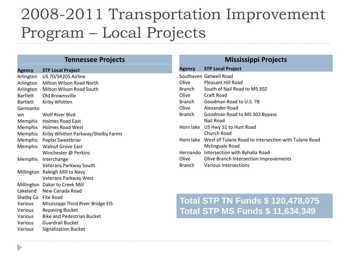#### 2008-2011 Transportation Improvement Program – Local Projects

**Mississippi Projects**

#### **Tennessee Projects**

| <b>Agency</b>   | <b>STP Local Project</b>           | <b>Agency</b> | <b>STP Local Project</b>                             |
|-----------------|------------------------------------|---------------|------------------------------------------------------|
| Arlington       | US 70/SR205 Airline                |               | Southaven Getwell Road                               |
| Arlington       | Milton Wilson Road North           | Olive         | <b>Pleasant Hill Road</b>                            |
| Arlington       | Milton Wilson Road South           | <b>Branch</b> | South of Nail Road to MS 302                         |
| Bartlett        | Old Brownsville                    | Olive         | <b>Craft Road</b>                                    |
| <b>Bartlett</b> | Kirby Whitten                      | <b>Branch</b> | Goodman Road to U.S. 78                              |
| Germanto        |                                    | Olive         | Alexander Road                                       |
| wn              | Wolf River Blvd                    | <b>Branch</b> | Goodman Road to MS 302 Bypass                        |
| Memphis         | <b>Holmes Road East</b>            |               | Nail Road                                            |
|                 | Memphis Holmes Road West           | Horn lake     | US Hwy 51 to Hurt Road                               |
| Memphis         | Kirby Whitten Parkway/Shelby Farms |               | Church Road                                          |
| Memphis         | Poplar Sweetbriar                  | Horn lake     | West of Tulane Road to intersection with Tulane Road |
| Memphis         | <b>Walnut Grove East</b>           |               | Mclingvale Road                                      |
|                 | Winchester @ Perkins               | Hernando      | Intersection with Byhalia Road                       |
| Memphis         | Interchange                        | Olive         | Olive Branch Intersection Improvements               |
|                 | Veterans Parkway South             | <b>Branch</b> | Various Intersections                                |
|                 | Millington Raleigh Mill to Navy    |               |                                                      |
|                 | Veterans Parkway West              |               |                                                      |
|                 | Millington Dakar to Creek Mill     |               |                                                      |
| Lakeland        | New Canada Road                    |               |                                                      |
| Shelby Co       | Fite Road                          |               | <b>Total STP TN Funds \$ 120,478,075</b>             |
| Various         | Mississippi Third River Bridge EIS |               |                                                      |
| Various         | <b>Repaving Bucket</b>             |               | <b>Total STP MS Funds \$ 11,634,349</b>              |
| Various         | <b>Bike and Pedestrian Bucket</b>  |               |                                                      |

Various Guardrail Bucket

Þ

Various Signalization Bucket